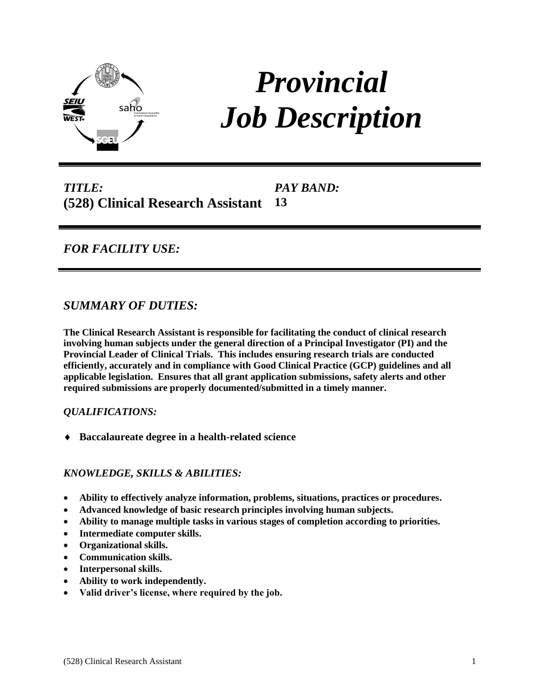

# *Provincial Job Description*

*TITLE:* **(528) Clinical Research Assistant** *PAY BAND:* **13**

# *FOR FACILITY USE:*

# *SUMMARY OF DUTIES:*

**The Clinical Research Assistant is responsible for facilitating the conduct of clinical research involving human subjects under the general direction of a Principal Investigator (PI) and the Provincial Leader of Clinical Trials. This includes ensuring research trials are conducted efficiently, accurately and in compliance with Good Clinical Practice (GCP) guidelines and all applicable legislation. Ensures that all grant application submissions, safety alerts and other required submissions are properly documented/submitted in a timely manner.**

#### *QUALIFICATIONS:*

**Baccalaureate degree in a health-related science**

#### *KNOWLEDGE, SKILLS & ABILITIES:*

- **Ability to effectively analyze information, problems, situations, practices or procedures.**
- **Advanced knowledge of basic research principles involving human subjects.**
- **Ability to manage multiple tasks in various stages of completion according to priorities.**
- **Intermediate computer skills.**
- **Organizational skills.**
- **Communication skills.**
- **Interpersonal skills.**
- **Ability to work independently.**
- **Valid driver's license, where required by the job.**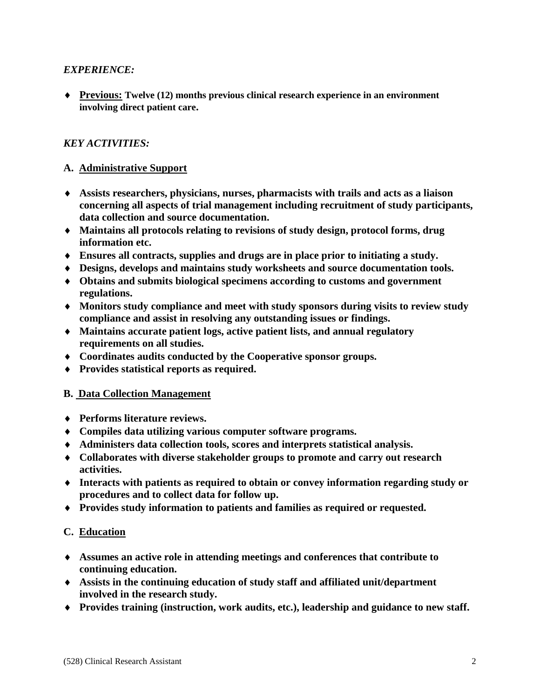# *EXPERIENCE:*

 **Previous: Twelve (12) months previous clinical research experience in an environment involving direct patient care.**

# *KEY ACTIVITIES:*

### **A. Administrative Support**

- **Assists researchers, physicians, nurses, pharmacists with trails and acts as a liaison concerning all aspects of trial management including recruitment of study participants, data collection and source documentation.**
- **Maintains all protocols relating to revisions of study design, protocol forms, drug information etc.**
- **Ensures all contracts, supplies and drugs are in place prior to initiating a study.**
- **Designs, develops and maintains study worksheets and source documentation tools.**
- **Obtains and submits biological specimens according to customs and government regulations.**
- **Monitors study compliance and meet with study sponsors during visits to review study compliance and assist in resolving any outstanding issues or findings.**
- **Maintains accurate patient logs, active patient lists, and annual regulatory requirements on all studies.**
- **Coordinates audits conducted by the Cooperative sponsor groups.**
- **Provides statistical reports as required.**

#### **B. Data Collection Management**

- **Performs literature reviews.**
- **Compiles data utilizing various computer software programs.**
- **Administers data collection tools, scores and interprets statistical analysis.**
- **Collaborates with diverse stakeholder groups to promote and carry out research activities.**
- **Interacts with patients as required to obtain or convey information regarding study or procedures and to collect data for follow up.**
- **Provides study information to patients and families as required or requested.**

#### **C. Education**

- **Assumes an active role in attending meetings and conferences that contribute to continuing education.**
- **Assists in the continuing education of study staff and affiliated unit/department involved in the research study.**
- **Provides training (instruction, work audits, etc.), leadership and guidance to new staff.**